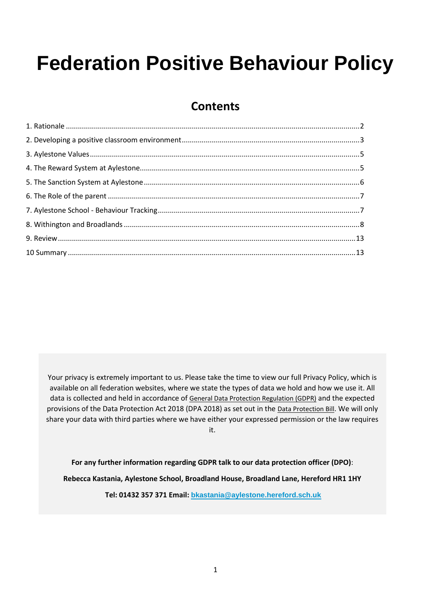# **Federation Positive Behaviour Policy**

# **Contents**

Your privacy is extremely important to us. Please take the time to view our full Privacy Policy, which is available on all federation websites, where we state the types of data we hold and how we use it. All data is collected and held in accordance of [General Data Protection Regulation \(GDPR\)](http://data.consilium.europa.eu/doc/document/ST-5419-2016-INIT/en/pdf) and the expected provisions of the Data Protection Act 2018 (DPA 2018) as set out in the [Data Protection Bill](https://publications.parliament.uk/pa/bills/cbill/2017-2019/0153/18153.pdf). We will only share your data with third parties where we have either your expressed permission or the law requires it.

**For any further information regarding GDPR talk to our data protection officer (DPO)**:

**Rebecca Kastania, Aylestone School, Broadland House, Broadland Lane, Hereford HR1 1HY**

**Tel: 01432 357 371 Email: [bkastania@aylestone.hereford.sch.uk](mailto:bkastania@aylestone.hereford.sch.uk)**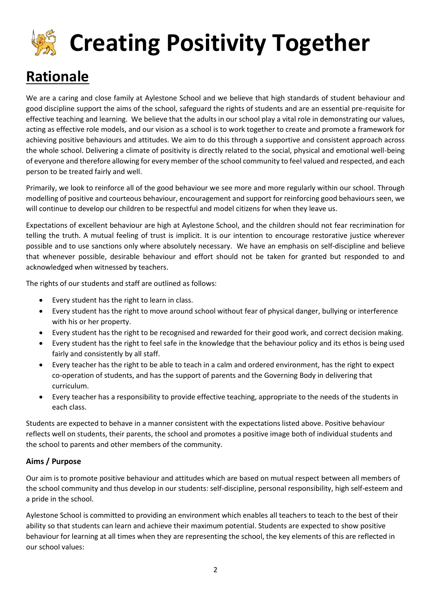# **Creating Positivity Together**

# **Rationale**

We are a caring and close family at Aylestone School and we believe that high standards of student behaviour and good discipline support the aims of the school, safeguard the rights of students and are an essential pre-requisite for effective teaching and learning. We believe that the adults in our school play a vital role in demonstrating our values, acting as effective role models, and our vision as a school is to work together to create and promote a framework for achieving positive behaviours and attitudes. We aim to do this through a supportive and consistent approach across the whole school. Delivering a climate of positivity is directly related to the social, physical and emotional well-being of everyone and therefore allowing for every member of the school community to feel valued and respected, and each person to be treated fairly and well.

Primarily, we look to reinforce all of the good behaviour we see more and more regularly within our school. Through modelling of positive and courteous behaviour, encouragement and support for reinforcing good behaviours seen, we will continue to develop our children to be respectful and model citizens for when they leave us.

Expectations of excellent behaviour are high at Aylestone School, and the children should not fear recrimination for telling the truth. A mutual feeling of trust is implicit. It is our intention to encourage restorative justice wherever possible and to use sanctions only where absolutely necessary. We have an emphasis on self-discipline and believe that whenever possible, desirable behaviour and effort should not be taken for granted but responded to and acknowledged when witnessed by teachers.

The rights of our students and staff are outlined as follows:

- Every student has the right to learn in class.
- Every student has the right to move around school without fear of physical danger, bullying or interference with his or her property.
- Every student has the right to be recognised and rewarded for their good work, and correct decision making.
- Every student has the right to feel safe in the knowledge that the behaviour policy and its ethos is being used fairly and consistently by all staff.
- Every teacher has the right to be able to teach in a calm and ordered environment, has the right to expect co-operation of students, and has the support of parents and the Governing Body in delivering that curriculum.
- Every teacher has a responsibility to provide effective teaching, appropriate to the needs of the students in each class.

Students are expected to behave in a manner consistent with the expectations listed above. Positive behaviour reflects well on students, their parents, the school and promotes a positive image both of individual students and the school to parents and other members of the community.

#### **Aims / Purpose**

Our aim is to promote positive behaviour and attitudes which are based on mutual respect between all members of the school community and thus develop in our students: self-discipline, personal responsibility, high self-esteem and a pride in the school.

Aylestone School is committed to providing an environment which enables all teachers to teach to the best of their ability so that students can learn and achieve their maximum potential. Students are expected to show positive behaviour for learning at all times when they are representing the school, the key elements of this are reflected in our school values: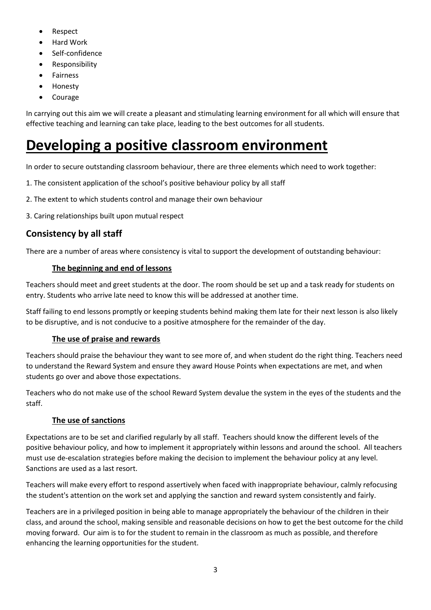- Respect
- Hard Work
- Self-confidence
- Responsibility
- **Fairness**
- Honesty
- Courage

In carrying out this aim we will create a pleasant and stimulating learning environment for all which will ensure that effective teaching and learning can take place, leading to the best outcomes for all students.

# **Developing a positive classroom environment**

In order to secure outstanding classroom behaviour, there are three elements which need to work together:

- 1. The consistent application of the school's positive behaviour policy by all staff
- 2. The extent to which students control and manage their own behaviour
- 3. Caring relationships built upon mutual respect

### **Consistency by all staff**

There are a number of areas where consistency is vital to support the development of outstanding behaviour:

#### **The beginning and end of lessons**

Teachers should meet and greet students at the door. The room should be set up and a task ready for students on entry. Students who arrive late need to know this will be addressed at another time.

Staff failing to end lessons promptly or keeping students behind making them late for their next lesson is also likely to be disruptive, and is not conducive to a positive atmosphere for the remainder of the day.

### **The use of praise and rewards**

Teachers should praise the behaviour they want to see more of, and when student do the right thing. Teachers need to understand the Reward System and ensure they award House Points when expectations are met, and when students go over and above those expectations.

Teachers who do not make use of the school Reward System devalue the system in the eyes of the students and the staff.

### **The use of sanctions**

Expectations are to be set and clarified regularly by all staff. Teachers should know the different levels of the positive behaviour policy, and how to implement it appropriately within lessons and around the school. All teachers must use de-escalation strategies before making the decision to implement the behaviour policy at any level. Sanctions are used as a last resort.

Teachers will make every effort to respond assertively when faced with inappropriate behaviour, calmly refocusing the student's attention on the work set and applying the sanction and reward system consistently and fairly.

Teachers are in a privileged position in being able to manage appropriately the behaviour of the children in their class, and around the school, making sensible and reasonable decisions on how to get the best outcome for the child moving forward. Our aim is to for the student to remain in the classroom as much as possible, and therefore enhancing the learning opportunities for the student.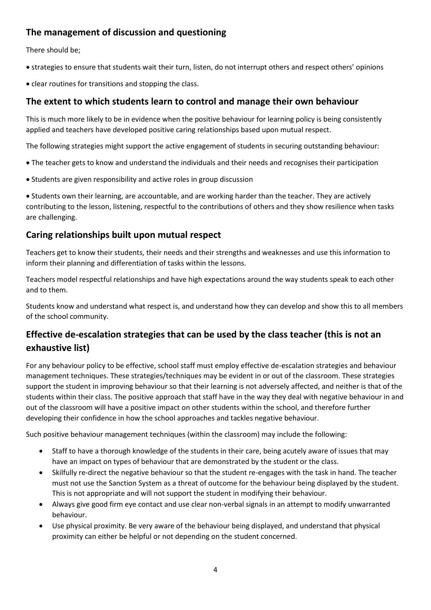### **The management of discussion and questioning**

There should be;

- strategies to ensure that students wait their turn, listen, do not interrupt others and respect others' opinions
- clear routines for transitions and stopping the class.

### **The extent to which students learn to control and manage their own behaviour**

This is much more likely to be in evidence when the positive behaviour for learning policy is being consistently applied and teachers have developed positive caring relationships based upon mutual respect.

The following strategies might support the active engagement of students in securing outstanding behaviour:

- The teacher gets to know and understand the individuals and their needs and recognises their participation
- Students are given responsibility and active roles in group discussion

• Students own their learning, are accountable, and are working harder than the teacher. They are actively contributing to the lesson, listening, respectful to the contributions of others and they show resilience when tasks are challenging.

### **Caring relationships built upon mutual respect**

Teachers get to know their students, their needs and their strengths and weaknesses and use this information to inform their planning and differentiation of tasks within the lessons.

Teachers model respectful relationships and have high expectations around the way students speak to each other and to them.

Students know and understand what respect is, and understand how they can develop and show this to all members of the school community.

### **Effective de-escalation strategies that can be used by the class teacher (this is not an exhaustive list)**

For any behaviour policy to be effective, school staff must employ effective de-escalation strategies and behaviour management techniques. These strategies/techniques may be evident in or out of the classroom. These strategies support the student in improving behaviour so that their learning is not adversely affected, and neither is that of the students within their class. The positive approach that staff have in the way they deal with negative behaviour in and out of the classroom will have a positive impact on other students within the school, and therefore further developing their confidence in how the school approaches and tackles negative behaviour.

Such positive behaviour management techniques (within the classroom) may include the following:

- Staff to have a thorough knowledge of the students in their care, being acutely aware of issues that may have an impact on types of behaviour that are demonstrated by the student or the class.
- Skilfully re-direct the negative behaviour so that the student re-engages with the task in hand. The teacher must not use the Sanction System as a threat of outcome for the behaviour being displayed by the student. This is not appropriate and will not support the student in modifying their behaviour.
- Always give good firm eye contact and use clear non-verbal signals in an attempt to modify unwarranted behaviour.
- Use physical proximity. Be very aware of the behaviour being displayed, and understand that physical proximity can either be helpful or not depending on the student concerned.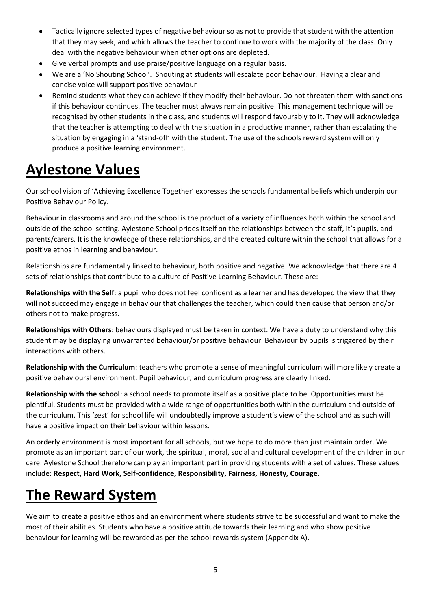- Tactically ignore selected types of negative behaviour so as not to provide that student with the attention that they may seek, and which allows the teacher to continue to work with the majority of the class. Only deal with the negative behaviour when other options are depleted.
- Give verbal prompts and use praise/positive language on a regular basis.
- We are a 'No Shouting School'. Shouting at students will escalate poor behaviour. Having a clear and concise voice will support positive behaviour
- Remind students what they can achieve if they modify their behaviour. Do not threaten them with sanctions if this behaviour continues. The teacher must always remain positive. This management technique will be recognised by other students in the class, and students will respond favourably to it. They will acknowledge that the teacher is attempting to deal with the situation in a productive manner, rather than escalating the situation by engaging in a 'stand-off' with the student. The use of the schools reward system will only produce a positive learning environment.

# **Aylestone Values**

Our school vision of 'Achieving Excellence Together' expresses the schools fundamental beliefs which underpin our Positive Behaviour Policy.

Behaviour in classrooms and around the school is the product of a variety of influences both within the school and outside of the school setting. Aylestone School prides itself on the relationships between the staff, it's pupils, and parents/carers. It is the knowledge of these relationships, and the created culture within the school that allows for a positive ethos in learning and behaviour.

Relationships are fundamentally linked to behaviour, both positive and negative. We acknowledge that there are 4 sets of relationships that contribute to a culture of Positive Learning Behaviour. These are:

**Relationships with the Self**: a pupil who does not feel confident as a learner and has developed the view that they will not succeed may engage in behaviour that challenges the teacher, which could then cause that person and/or others not to make progress.

**Relationships with Others**: behaviours displayed must be taken in context. We have a duty to understand why this student may be displaying unwarranted behaviour/or positive behaviour. Behaviour by pupils is triggered by their interactions with others.

**Relationship with the Curriculum**: teachers who promote a sense of meaningful curriculum will more likely create a positive behavioural environment. Pupil behaviour, and curriculum progress are clearly linked.

**Relationship with the school**: a school needs to promote itself as a positive place to be. Opportunities must be plentiful. Students must be provided with a wide range of opportunities both within the curriculum and outside of the curriculum. This 'zest' for school life will undoubtedly improve a student's view of the school and as such will have a positive impact on their behaviour within lessons.

An orderly environment is most important for all schools, but we hope to do more than just maintain order. We promote as an important part of our work, the spiritual, moral, social and cultural development of the children in our care. Aylestone School therefore can play an important part in providing students with a set of values. These values include: **Respect, Hard Work, Self-confidence, Responsibility, Fairness, Honesty, Courage**.

# **The Reward System**

We aim to create a positive ethos and an environment where students strive to be successful and want to make the most of their abilities. Students who have a positive attitude towards their learning and who show positive behaviour for learning will be rewarded as per the school rewards system (Appendix A).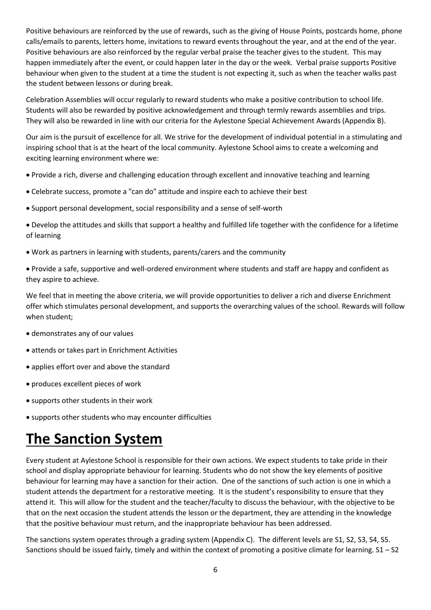Positive behaviours are reinforced by the use of rewards, such as the giving of House Points, postcards home, phone calls/emails to parents, letters home, invitations to reward events throughout the year, and at the end of the year. Positive behaviours are also reinforced by the regular verbal praise the teacher gives to the student. This may happen immediately after the event, or could happen later in the day or the week. Verbal praise supports Positive behaviour when given to the student at a time the student is not expecting it, such as when the teacher walks past the student between lessons or during break.

Celebration Assemblies will occur regularly to reward students who make a positive contribution to school life. Students will also be rewarded by positive acknowledgement and through termly rewards assemblies and trips. They will also be rewarded in line with our criteria for the Aylestone Special Achievement Awards (Appendix B).

Our aim is the pursuit of excellence for all. We strive for the development of individual potential in a stimulating and inspiring school that is at the heart of the local community. Aylestone School aims to create a welcoming and exciting learning environment where we:

- Provide a rich, diverse and challenging education through excellent and innovative teaching and learning
- Celebrate success, promote a "can do" attitude and inspire each to achieve their best
- Support personal development, social responsibility and a sense of self-worth

• Develop the attitudes and skills that support a healthy and fulfilled life together with the confidence for a lifetime of learning

- Work as partners in learning with students, parents/carers and the community
- Provide a safe, supportive and well-ordered environment where students and staff are happy and confident as they aspire to achieve.

We feel that in meeting the above criteria, we will provide opportunities to deliver a rich and diverse Enrichment offer which stimulates personal development, and supports the overarching values of the school. Rewards will follow when student;

- demonstrates any of our values
- attends or takes part in Enrichment Activities
- applies effort over and above the standard
- produces excellent pieces of work
- supports other students in their work
- supports other students who may encounter difficulties

# **The Sanction System**

Every student at Aylestone School is responsible for their own actions. We expect students to take pride in their school and display appropriate behaviour for learning. Students who do not show the key elements of positive behaviour for learning may have a sanction for their action. One of the sanctions of such action is one in which a student attends the department for a restorative meeting. It is the student's responsibility to ensure that they attend it. This will allow for the student and the teacher/faculty to discuss the behaviour, with the objective to be that on the next occasion the student attends the lesson or the department, they are attending in the knowledge that the positive behaviour must return, and the inappropriate behaviour has been addressed.

The sanctions system operates through a grading system (Appendix C). The different levels are S1, S2, S3, S4, S5. Sanctions should be issued fairly, timely and within the context of promoting a positive climate for learning. S1 – S2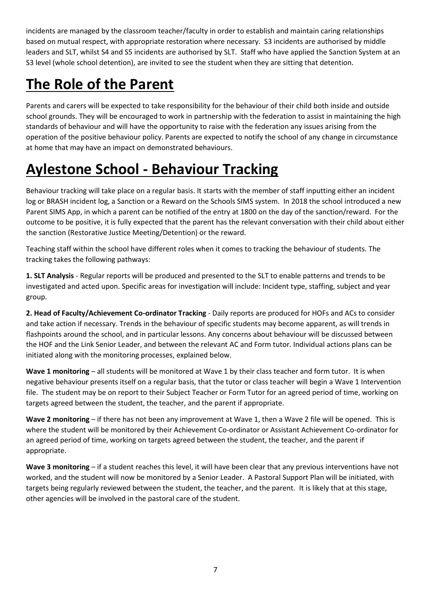incidents are managed by the classroom teacher/faculty in order to establish and maintain caring relationships based on mutual respect, with appropriate restoration where necessary. S3 incidents are authorised by middle leaders and SLT, whilst S4 and S5 incidents are authorised by SLT. Staff who have applied the Sanction System at an S3 level (whole school detention), are invited to see the student when they are sitting that detention.

# **The Role of the Parent**

Parents and carers will be expected to take responsibility for the behaviour of their child both inside and outside school grounds. They will be encouraged to work in partnership with the federation to assist in maintaining the high standards of behaviour and will have the opportunity to raise with the federation any issues arising from the operation of the positive behaviour policy. Parents are expected to notify the school of any change in circumstance at home that may have an impact on demonstrated behaviours.

# **Aylestone School - Behaviour Tracking**

Behaviour tracking will take place on a regular basis. It starts with the member of staff inputting either an incident log or BRASH incident log, a Sanction or a Reward on the Schools SIMS system. In 2018 the school introduced a new Parent SIMS App, in which a parent can be notified of the entry at 1800 on the day of the sanction/reward. For the outcome to be positive, it is fully expected that the parent has the relevant conversation with their child about either the sanction (Restorative Justice Meeting/Detention) or the reward.

Teaching staff within the school have different roles when it comes to tracking the behaviour of students. The tracking takes the following pathways:

**1. SLT Analysis** - Regular reports will be produced and presented to the SLT to enable patterns and trends to be investigated and acted upon. Specific areas for investigation will include: Incident type, staffing, subject and year group.

**2. Head of Faculty/Achievement Co-ordinator Tracking** - Daily reports are produced for HOFs and ACs to consider and take action if necessary. Trends in the behaviour of specific students may become apparent, as will trends in flashpoints around the school, and in particular lessons. Any concerns about behaviour will be discussed between the HOF and the Link Senior Leader, and between the relevant AC and Form tutor. Individual actions plans can be initiated along with the monitoring processes, explained below.

**Wave 1 monitoring** – all students will be monitored at Wave 1 by their class teacher and form tutor. It is when negative behaviour presents itself on a regular basis, that the tutor or class teacher will begin a Wave 1 Intervention file. The student may be on report to their Subject Teacher or Form Tutor for an agreed period of time, working on targets agreed between the student, the teacher, and the parent if appropriate.

**Wave 2 monitoring** – if there has not been any improvement at Wave 1, then a Wave 2 file will be opened. This is where the student will be monitored by their Achievement Co-ordinator or Assistant Achievement Co-ordinator for an agreed period of time, working on targets agreed between the student, the teacher, and the parent if appropriate.

**Wave 3 monitoring** – if a student reaches this level, it will have been clear that any previous interventions have not worked, and the student will now be monitored by a Senior Leader. A Pastoral Support Plan will be initiated, with targets being regularly reviewed between the student, the teacher, and the parent. It is likely that at this stage, other agencies will be involved in the pastoral care of the student.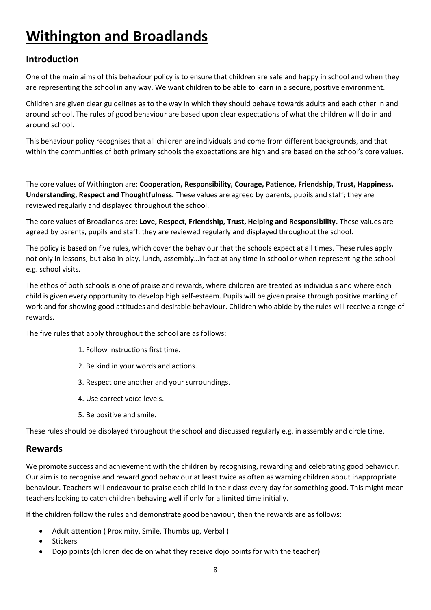# **Withington and Broadlands**

### **Introduction**

One of the main aims of this behaviour policy is to ensure that children are safe and happy in school and when they are representing the school in any way. We want children to be able to learn in a secure, positive environment.

Children are given clear guidelines as to the way in which they should behave towards adults and each other in and around school. The rules of good behaviour are based upon clear expectations of what the children will do in and around school.

This behaviour policy recognises that all children are individuals and come from different backgrounds, and that within the communities of both primary schools the expectations are high and are based on the school's core values.

The core values of Withington are: **Cooperation, Responsibility, Courage, Patience, Friendship, Trust, Happiness, Understanding, Respect and Thoughtfulness.** These values are agreed by parents, pupils and staff; they are reviewed regularly and displayed throughout the school.

The core values of Broadlands are: **Love, Respect, Friendship, Trust, Helping and Responsibility.** These values are agreed by parents, pupils and staff; they are reviewed regularly and displayed throughout the school.

The policy is based on five rules, which cover the behaviour that the schools expect at all times. These rules apply not only in lessons, but also in play, lunch, assembly…in fact at any time in school or when representing the school e.g. school visits.

The ethos of both schools is one of praise and rewards, where children are treated as individuals and where each child is given every opportunity to develop high self-esteem. Pupils will be given praise through positive marking of work and for showing good attitudes and desirable behaviour. Children who abide by the rules will receive a range of rewards.

The five rules that apply throughout the school are as follows:

- 1. Follow instructions first time.
- 2. Be kind in your words and actions.
- 3. Respect one another and your surroundings.
- 4. Use correct voice levels.
- 5. Be positive and smile.

These rules should be displayed throughout the school and discussed regularly e.g. in assembly and circle time.

#### **Rewards**

We promote success and achievement with the children by recognising, rewarding and celebrating good behaviour. Our aim is to recognise and reward good behaviour at least twice as often as warning children about inappropriate behaviour. Teachers will endeavour to praise each child in their class every day for something good. This might mean teachers looking to catch children behaving well if only for a limited time initially.

If the children follow the rules and demonstrate good behaviour, then the rewards are as follows:

- Adult attention ( Proximity, Smile, Thumbs up, Verbal )
- Stickers
- Dojo points (children decide on what they receive dojo points for with the teacher)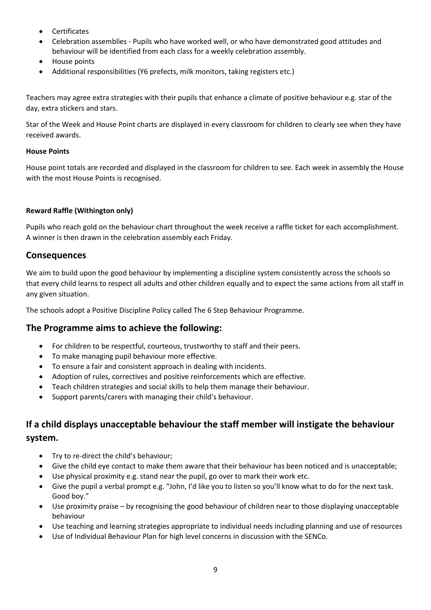- Certificates
- Celebration assemblies Pupils who have worked well, or who have demonstrated good attitudes and behaviour will be identified from each class for a weekly celebration assembly.
- House points
- Additional responsibilities (Y6 prefects, milk monitors, taking registers etc.)

Teachers may agree extra strategies with their pupils that enhance a climate of positive behaviour e.g. star of the day, extra stickers and stars.

Star of the Week and House Point charts are displayed in every classroom for children to clearly see when they have received awards.

#### **House Points**

House point totals are recorded and displayed in the classroom for children to see. Each week in assembly the House with the most House Points is recognised.

#### **Reward Raffle (Withington only)**

Pupils who reach gold on the behaviour chart throughout the week receive a raffle ticket for each accomplishment. A winner is then drawn in the celebration assembly each Friday.

#### **Consequences**

We aim to build upon the good behaviour by implementing a discipline system consistently across the schools so that every child learns to respect all adults and other children equally and to expect the same actions from all staff in any given situation.

The schools adopt a Positive Discipline Policy called The 6 Step Behaviour Programme.

#### **The Programme aims to achieve the following:**

- For children to be respectful, courteous, trustworthy to staff and their peers.
- To make managing pupil behaviour more effective.
- To ensure a fair and consistent approach in dealing with incidents.
- Adoption of rules, correctives and positive reinforcements which are effective.
- Teach children strategies and social skills to help them manage their behaviour.
- Support parents/carers with managing their child's behaviour.

## **If a child displays unacceptable behaviour the staff member will instigate the behaviour system.**

- Try to re-direct the child's behaviour;
- Give the child eye contact to make them aware that their behaviour has been noticed and is unacceptable;
- Use physical proximity e.g. stand near the pupil, go over to mark their work etc.
- Give the pupil a verbal prompt e.g. "John, I'd like you to listen so you'll know what to do for the next task. Good boy."
- Use proximity praise by recognising the good behaviour of children near to those displaying unacceptable behaviour
- Use teaching and learning strategies appropriate to individual needs including planning and use of resources
- Use of Individual Behaviour Plan for high level concerns in discussion with the SENCo.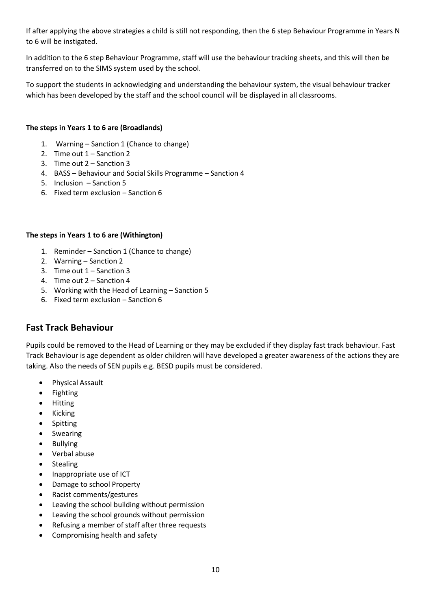If after applying the above strategies a child is still not responding, then the 6 step Behaviour Programme in Years N to 6 will be instigated.

In addition to the 6 step Behaviour Programme, staff will use the behaviour tracking sheets, and this will then be transferred on to the SIMS system used by the school.

To support the students in acknowledging and understanding the behaviour system, the visual behaviour tracker which has been developed by the staff and the school council will be displayed in all classrooms.

#### **The steps in Years 1 to 6 are (Broadlands)**

- 1. Warning Sanction 1 (Chance to change)
- 2. Time out 1 Sanction 2
- 3. Time out 2 Sanction 3
- 4. BASS Behaviour and Social Skills Programme Sanction 4
- 5. Inclusion Sanction 5
- 6. Fixed term exclusion Sanction 6

#### **The steps in Years 1 to 6 are (Withington)**

- 1. Reminder Sanction 1 (Chance to change)
- 2. Warning Sanction 2
- 3. Time out 1 Sanction 3
- 4. Time out 2 Sanction 4
- 5. Working with the Head of Learning Sanction 5
- 6. Fixed term exclusion Sanction 6

#### **Fast Track Behaviour**

Pupils could be removed to the Head of Learning or they may be excluded if they display fast track behaviour. Fast Track Behaviour is age dependent as older children will have developed a greater awareness of the actions they are taking. Also the needs of SEN pupils e.g. BESD pupils must be considered.

- Physical Assault
- Fighting
- Hitting
- Kicking
- **Spitting**
- Swearing
- Bullying
- Verbal abuse
- Stealing
- Inappropriate use of ICT
- Damage to school Property
- Racist comments/gestures
- Leaving the school building without permission
- Leaving the school grounds without permission
- Refusing a member of staff after three requests
- Compromising health and safety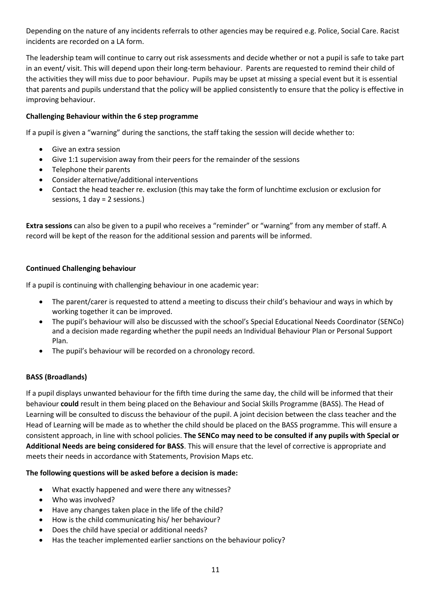Depending on the nature of any incidents referrals to other agencies may be required e.g. Police, Social Care. Racist incidents are recorded on a LA form.

The leadership team will continue to carry out risk assessments and decide whether or not a pupil is safe to take part in an event/ visit. This will depend upon their long-term behaviour. Parents are requested to remind their child of the activities they will miss due to poor behaviour. Pupils may be upset at missing a special event but it is essential that parents and pupils understand that the policy will be applied consistently to ensure that the policy is effective in improving behaviour.

#### **Challenging Behaviour within the 6 step programme**

If a pupil is given a "warning" during the sanctions, the staff taking the session will decide whether to:

- Give an extra session
- Give 1:1 supervision away from their peers for the remainder of the sessions
- Telephone their parents
- Consider alternative/additional interventions
- Contact the head teacher re. exclusion (this may take the form of lunchtime exclusion or exclusion for sessions, 1 day = 2 sessions.)

**Extra sessions** can also be given to a pupil who receives a "reminder" or "warning" from any member of staff. A record will be kept of the reason for the additional session and parents will be informed.

#### **Continued Challenging behaviour**

If a pupil is continuing with challenging behaviour in one academic year:

- The parent/carer is requested to attend a meeting to discuss their child's behaviour and ways in which by working together it can be improved.
- The pupil's behaviour will also be discussed with the school's Special Educational Needs Coordinator (SENCo) and a decision made regarding whether the pupil needs an Individual Behaviour Plan or Personal Support Plan.
- The pupil's behaviour will be recorded on a chronology record.

#### **BASS (Broadlands)**

If a pupil displays unwanted behaviour for the fifth time during the same day, the child will be informed that their behaviour **could** result in them being placed on the Behaviour and Social Skills Programme (BASS). The Head of Learning will be consulted to discuss the behaviour of the pupil. A joint decision between the class teacher and the Head of Learning will be made as to whether the child should be placed on the BASS programme. This will ensure a consistent approach, in line with school policies. **The SENCo may need to be consulted if any pupils with Special or Additional Needs are being considered for BASS**. This will ensure that the level of corrective is appropriate and meets their needs in accordance with Statements, Provision Maps etc.

#### **The following questions will be asked before a decision is made:**

- What exactly happened and were there any witnesses?
- Who was involved?
- Have any changes taken place in the life of the child?
- How is the child communicating his/ her behaviour?
- Does the child have special or additional needs?
- Has the teacher implemented earlier sanctions on the behaviour policy?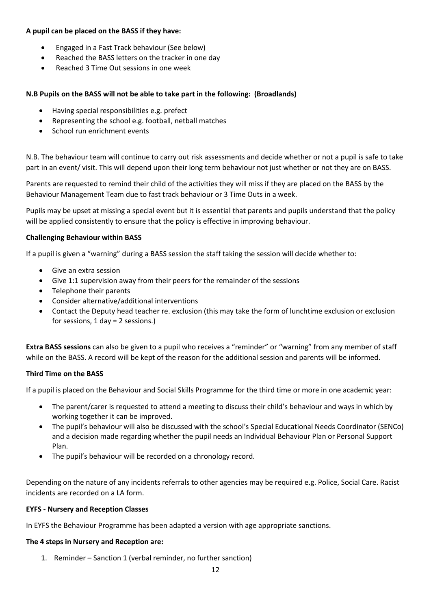#### **A pupil can be placed on the BASS if they have:**

- Engaged in a Fast Track behaviour (See below)
- Reached the BASS letters on the tracker in one day
- Reached 3 Time Out sessions in one week

#### **N.B Pupils on the BASS will not be able to take part in the following: (Broadlands)**

- Having special responsibilities e.g. prefect
- Representing the school e.g. football, netball matches
- School run enrichment events

N.B. The behaviour team will continue to carry out risk assessments and decide whether or not a pupil is safe to take part in an event/ visit. This will depend upon their long term behaviour not just whether or not they are on BASS.

Parents are requested to remind their child of the activities they will miss if they are placed on the BASS by the Behaviour Management Team due to fast track behaviour or 3 Time Outs in a week.

Pupils may be upset at missing a special event but it is essential that parents and pupils understand that the policy will be applied consistently to ensure that the policy is effective in improving behaviour.

#### **Challenging Behaviour within BASS**

If a pupil is given a "warning" during a BASS session the staff taking the session will decide whether to:

- Give an extra session
- Give 1:1 supervision away from their peers for the remainder of the sessions
- Telephone their parents
- Consider alternative/additional interventions
- Contact the Deputy head teacher re. exclusion (this may take the form of lunchtime exclusion or exclusion for sessions, 1 day = 2 sessions.)

**Extra BASS sessions** can also be given to a pupil who receives a "reminder" or "warning" from any member of staff while on the BASS. A record will be kept of the reason for the additional session and parents will be informed.

#### **Third Time on the BASS**

If a pupil is placed on the Behaviour and Social Skills Programme for the third time or more in one academic year:

- The parent/carer is requested to attend a meeting to discuss their child's behaviour and ways in which by working together it can be improved.
- The pupil's behaviour will also be discussed with the school's Special Educational Needs Coordinator (SENCo) and a decision made regarding whether the pupil needs an Individual Behaviour Plan or Personal Support Plan.
- The pupil's behaviour will be recorded on a chronology record.

Depending on the nature of any incidents referrals to other agencies may be required e.g. Police, Social Care. Racist incidents are recorded on a LA form.

#### **EYFS - Nursery and Reception Classes**

In EYFS the Behaviour Programme has been adapted a version with age appropriate sanctions.

#### **The 4 steps in Nursery and Reception are:**

1. Reminder – Sanction 1 (verbal reminder, no further sanction)